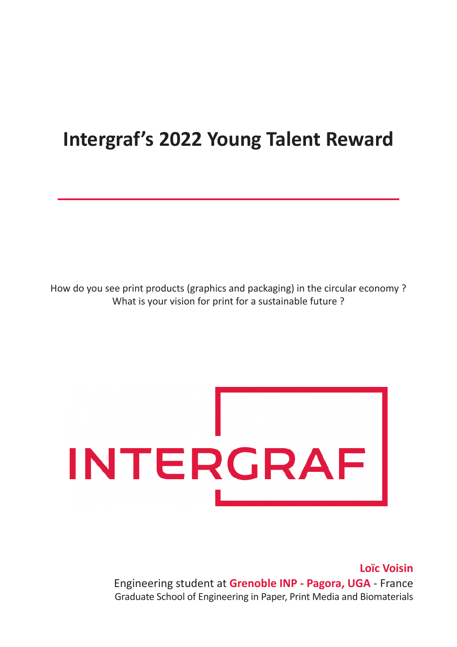# **Intergraf's 2022 Young Talent Reward**

How do you see print products (graphics and packaging) in the circular economy ? What is your vision for print for a sustainable future ?



**Loïc Voisin** Engineering student at **Grenoble INP - Pagora, UGA** - France Graduate School of Engineering in Paper, Print Media and Biomaterials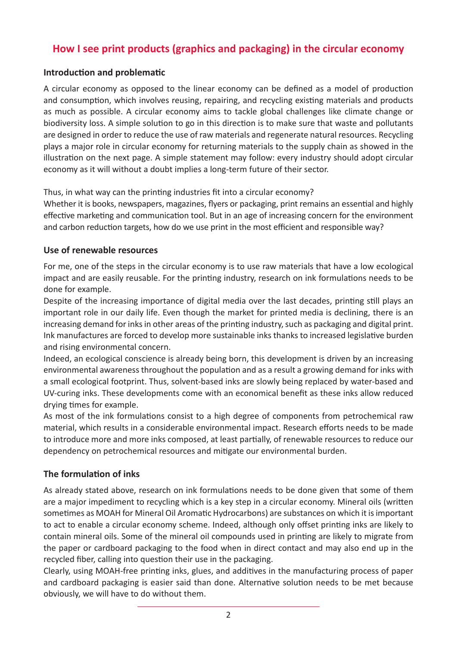# **How I see print products (graphics and packaging) in the circular economy**

## **Introduction and problematic**

A circular economy as opposed to the linear economy can be defined as a model of production and consumption, which involves reusing, repairing, and recycling existing materials and products as much as possible. A circular economy aims to tackle global challenges like climate change or biodiversity loss. A simple solution to go in this direction is to make sure that waste and pollutants are designed in order to reduce the use of raw materials and regenerate natural resources. Recycling plays a major role in circular economy for returning materials to the supply chain as showed in the illustration on the next page. A simple statement may follow: every industry should adopt circular economy as it will without a doubt implies a long-term future of their sector.

Thus, in what way can the printing industries fit into a circular economy?

Whether it is books, newspapers, magazines, flyers or packaging, print remains an essential and highly effective marketing and communication tool. But in an age of increasing concern for the environment and carbon reduction targets, how do we use print in the most efficient and responsible way?

#### **Use of renewable resources**

For me, one of the steps in the circular economy is to use raw materials that have a low ecological impact and are easily reusable. For the printing industry, research on ink formulations needs to be done for example.

Despite of the increasing importance of digital media over the last decades, printing still plays an important role in our daily life. Even though the market for printed media is declining, there is an increasing demand for inks in other areas of the printing industry, such as packaging and digital print. Ink manufactures are forced to develop more sustainable inks thanks to increased legislative burden and rising environmental concern.

Indeed, an ecological conscience is already being born, this development is driven by an increasing environmental awareness throughout the population and as a result a growing demand for inks with a small ecological footprint. Thus, solvent-based inks are slowly being replaced by water-based and UV-curing inks. These developments come with an economical benefit as these inks allow reduced drying times for example.

As most of the ink formulations consist to a high degree of components from petrochemical raw material, which results in a considerable environmental impact. Research efforts needs to be made to introduce more and more inks composed, at least partially, of renewable resources to reduce our dependency on petrochemical resources and mitigate our environmental burden.

## **The formulation of inks**

As already stated above, research on ink formulations needs to be done given that some of them are a major impediment to recycling which is a key step in a circular economy. Mineral oils (written sometimes as MOAH for Mineral Oil Aromatic Hydrocarbons) are substances on which it is important to act to enable a circular economy scheme. Indeed, although only offset printing inks are likely to contain mineral oils. Some of the mineral oil compounds used in printing are likely to migrate from the paper or cardboard packaging to the food when in direct contact and may also end up in the recycled fiber, calling into question their use in the packaging.

Clearly, using MOAH-free printing inks, glues, and additives in the manufacturing process of paper and cardboard packaging is easier said than done. Alternative solution needs to be met because obviously, we will have to do without them.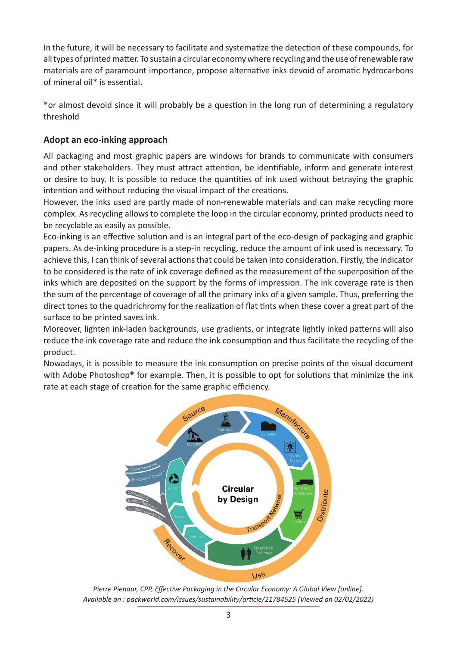In the future, it will be necessary to facilitate and systematize the detection of these compounds, for all types of printed matter. To sustain a circular economy where recycling and the use of renewable raw materials are of paramount importance, propose alternative inks devoid of aromatic hydrocarbons of mineral oil\* is essential.

\*or almost devoid since it will probably be a question in the long run of determining a regulatory threshold

## **Adopt an eco-inking approach**

All packaging and most graphic papers are windows for brands to communicate with consumers and other stakeholders. They must attract attention, be identifiable, inform and generate interest or desire to buy. It is possible to reduce the quantities of ink used without betraying the graphic intention and without reducing the visual impact of the creations.

However, the inks used are partly made of non-renewable materials and can make recycling more complex. As recycling allows to complete the loop in the circular economy, printed products need to be recyclable as easily as possible.

Eco-inking is an effective solution and is an integral part of the eco-design of packaging and graphic papers. As de-inking procedure is a step-in recycling, reduce the amount of ink used is necessary. To achieve this, I can think of several actions that could be taken into consideration. Firstly, the indicator to be considered is the rate of ink coverage defined as the measurement of the superposition of the inks which are deposited on the support by the forms of impression. The ink coverage rate is then the sum of the percentage of coverage of all the primary inks of a given sample. Thus, preferring the direct tones to the quadrichromy for the realization of flat tints when these cover a great part of the surface to be printed saves ink.

Moreover, lighten ink-laden backgrounds, use gradients, or integrate lightly inked patterns will also reduce the ink coverage rate and reduce the ink consumption and thus facilitate the recycling of the product.

Nowadays, it is possible to measure the ink consumption on precise points of the visual document with Adobe Photoshop<sup>®</sup> for example. Then, it is possible to opt for solutions that minimize the ink rate at each stage of creation for the same graphic efficiency.



*Pierre Pienaar, CPP, Effective Packaging in the Circular Economy: A Global View [online]. Available on : packworld.com/issues/sustainability/article/21784525 (Viewed on 02/02/2022)*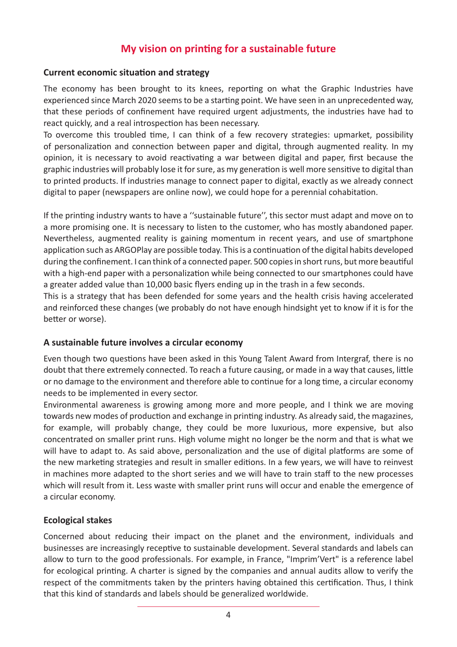# **My vision on printing for a sustainable future**

### **Current economic situation and strategy**

The economy has been brought to its knees, reporting on what the Graphic Industries have experienced since March 2020 seems to be a starting point. We have seen in an unprecedented way, that these periods of confinement have required urgent adjustments, the industries have had to react quickly, and a real introspection has been necessary.

To overcome this troubled time, I can think of a few recovery strategies: upmarket, possibility of personalization and connection between paper and digital, through augmented reality. In my opinion, it is necessary to avoid reactivating a war between digital and paper, first because the graphic industries will probably lose it for sure, as my generation is well more sensitive to digital than to printed products. If industries manage to connect paper to digital, exactly as we already connect digital to paper (newspapers are online now), we could hope for a perennial cohabitation.

If the printing industry wants to have a ''sustainable future'', this sector must adapt and move on to a more promising one. It is necessary to listen to the customer, who has mostly abandoned paper. Nevertheless, augmented reality is gaining momentum in recent years, and use of smartphone application such as ARGOPlay are possible today. This is a continuation of the digital habits developed during the confinement. I can think of a connected paper. 500 copies in short runs, but more beautiful with a high-end paper with a personalization while being connected to our smartphones could have a greater added value than 10,000 basic flyers ending up in the trash in a few seconds.

This is a strategy that has been defended for some years and the health crisis having accelerated and reinforced these changes (we probably do not have enough hindsight yet to know if it is for the better or worse).

## **A sustainable future involves a circular economy**

Even though two questions have been asked in this Young Talent Award from Intergraf, there is no doubt that there extremely connected. To reach a future causing, or made in a way that causes, little or no damage to the environment and therefore able to continue for a long time, a circular economy needs to be implemented in every sector.

Environmental awareness is growing among more and more people, and I think we are moving towards new modes of production and exchange in printing industry. As already said, the magazines, for example, will probably change, they could be more luxurious, more expensive, but also concentrated on smaller print runs. High volume might no longer be the norm and that is what we will have to adapt to. As said above, personalization and the use of digital platforms are some of the new marketing strategies and result in smaller editions. In a few years, we will have to reinvest in machines more adapted to the short series and we will have to train staff to the new processes which will result from it. Less waste with smaller print runs will occur and enable the emergence of a circular economy.

## **Ecological stakes**

Concerned about reducing their impact on the planet and the environment, individuals and businesses are increasingly receptive to sustainable development. Several standards and labels can allow to turn to the good professionals. For example, in France, "Imprim'Vert" is a reference label for ecological printing. A charter is signed by the companies and annual audits allow to verify the respect of the commitments taken by the printers having obtained this certification. Thus, I think that this kind of standards and labels should be generalized worldwide.